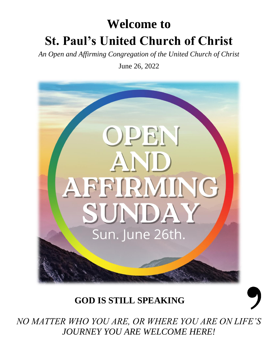# **Welcome to St. Paul's United Church of Christ**

*An Open and Affirming Congregation of the United Church of Christ*

June 26, 2022



## **GOD IS STILL SPEAKING**

*NO MATTER WHO YOU ARE, OR WHERE YOU ARE ON LIFE'S JOURNEY YOU ARE WELCOME HERE!*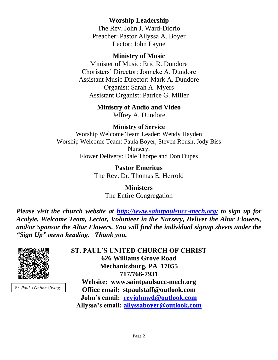### **Worship Leadership**

The Rev. John J. Ward-Diorio Preacher: Pastor Allyssa A. Boyer Lector: John Layne

### **Ministry of Music**

Minister of Music: Eric R. Dundore Choristers' Director: Jonneke A. Dundore Assistant Music Director: Mark A. Dundore Organist: Sarah A. Myers Assistant Organist: Patrice G. Miller

### **Ministry of Audio and Video**

Jeffrey A. Dundore

### **Ministry of Service**

Worship Welcome Team Leader: Wendy Hayden Worship Welcome Team: Paula Boyer, Steven Roush, Jody Biss Nursery: Flower Delivery: Dale Thorpe and Don Dupes

> **Pastor Emeritus** The Rev. Dr. Thomas E. Herrold

> > **Ministers** The Entire Congregation

*Please visit the church website at <http://www.saintpaulsucc-mech.org/> to sign up for Acolyte, Welcome Team, Lector, Volunteer in the Nursery, Deliver the Altar Flowers, and/or Sponsor the Altar Flowers. You will find the individual signup sheets under the "Sign Up" menu heading. Thank you.*



S*t. Paul's Online Giving*

**ST. PAUL'S UNITED CHURCH OF CHRIST 626 Williams Grove Road Mechanicsburg, PA 17055 717/766-7931 Website: www.saintpaulsucc-mech.org Office email: stpaulstaff@outlook.com John's email: [revjohnwd@outlook.com](mailto:revjohnwd@outlook.com) Allyssa's email: [allyssaboyer@outlook.com](mailto:allyssaboyer@outlook.com)**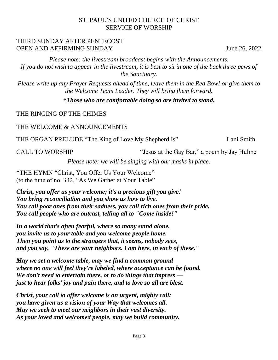### ST. PAUL'S UNITED CHURCH OF CHRIST SERVICE OF WORSHIP

### THIRD SUNDAY AFTER PENTECOST OPEN AND AFFIRMING SUNDAY June 26, 2022

*Please note: the livestream broadcast begins with the Announcements. If you do not wish to appear in the livestream, it is best to sit in one of the back three pews of the Sanctuary.*

*Please write up any Prayer Requests ahead of time, leave them in the Red Bowl or give them to the Welcome Team Leader. They will bring them forward.*

*\*Those who are comfortable doing so are invited to stand.*

THE RINGING OF THE CHIMES

THE WELCOME & ANNOUNCEMENTS

THE ORGAN PRELUDE "The King of Love My Shepherd Is" Lani Smith

CALL TO WORSHIP "'Jesus at the Gay Bar," a poem by Jay Hulme

*Please note: we will be singing with our masks in place.*

\*THE HYMN "Christ, You Offer Us Your Welcome" (to the tune of no. 332, "As We Gather at Your Table"

*Christ, you offer us your welcome; it's a precious gift you give! You bring reconciliation and you show us how to live. You call poor ones from their sadness, you call rich ones from their pride. You call people who are outcast, telling all to "Come inside!"*

*In a world that's often fearful, where so many stand alone, you invite us to your table and you welcome people home. Then you point us to the strangers that, it seems, nobody sees, and you say, "These are your neighbors. I am here, in each of these."*

*May we set a welcome table, may we find a common ground where no one will feel they're labeled, where acceptance can be found. We don't need to entertain there, or to do things that impress just to hear folks' joy and pain there, and to love so all are blest.*

*Christ, your call to offer welcome is an urgent, mighty call; you have given us a vision of your Way that welcomes all. May we seek to meet our neighbors in their vast diversity. As your loved and welcomed people, may we build community.*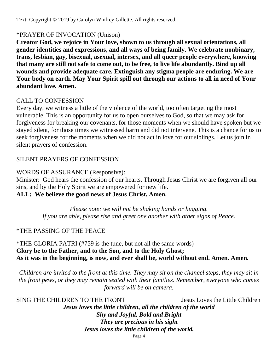Text: Copyright © 2019 by Carolyn Winfrey Gillette. All rights reserved.

### \*PRAYER OF INVOCATION (Unison)

**Creator God, we rejoice in Your love, shown to us through all sexual orientations, all gender identities and expressions, and all ways of being family. We celebrate nonbinary, trans, lesbian, gay, bisexual, asexual, intersex, and all queer people everywhere, knowing that many are still not safe to come out, to be free, to live life abundantly. Bind up all wounds and provide adequate care. Extinguish any stigma people are enduring. We are Your body on earth. May Your Spirit spill out through our actions to all in need of Your abundant love. Amen.**

### CALL TO CONFESSION

Every day, we witness a little of the violence of the world, too often targeting the most vulnerable. This is an opportunity for us to open ourselves to God, so that we may ask for forgiveness for breaking our covenants, for those moments when we should have spoken but we stayed silent, for those times we witnessed harm and did not intervene. This is a chance for us to seek forgiveness for the moments when we did not act in love for our siblings. Let us join in silent prayers of confession.

### SILENT PRAYERS OF CONFESSION

### WORDS OF ASSURANCE (Responsive):

Minister: God hears the confession of our hearts. Through Jesus Christ we are forgiven all our sins, and by the Holy Spirit we are empowered for new life. **ALL: We believe the good news of Jesus Christ. Amen.**

*Please note: we will not be shaking hands or hugging. If you are able, please rise and greet one another with other signs of Peace.*

### \*THE PASSING OF THE PEACE

\*THE GLORIA PATRI (#759 is the tune, but not all the same words) **Glory be to the Father, and to the Son, and to the Holy Ghost; As it was in the beginning, is now, and ever shall be, world without end. Amen. Amen.**

*Children are invited to the front at this time. They may sit on the chancel steps, they may sit in the front pews, or they may remain seated with their families. Remember, everyone who comes forward will be on camera.* 

SING THE CHILDREN TO THE FRONT Jesus Loves the Little Children *Jesus loves the little children, all the children of the world Shy and Joyful, Bold and Bright They are precious in his sight Jesus loves the little children of the world.*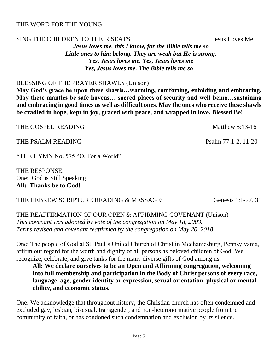THE PSALM READING Psalm 77:1-2, 11-20

\*THE HYMN No. 575 "O, For a World"

THE RESPONSE: One: God is Still Speaking. **All: Thanks be to God!** 

### THE HEBREW SCRIPTURE READING & MESSAGE: Genesis 1:1-27, 31

THE REAFFIRMATION OF OUR OPEN & AFFIRMING COVENANT (Unison) *This covenant was adopted by vote of the congregation on May 18, 2003. Terms revised and covenant reaffirmed by the congregation on May 20, 2018.*

One: The people of God at St. Paul's United Church of Christ in Mechanicsburg, Pennsylvania, affirm our regard for the worth and dignity of all persons as beloved children of God. We recognize, celebrate, and give tanks for the many diverse gifts of God among us.

**All: We declare ourselves to be an Open and Affirming congregation, welcoming into full membership and participation in the Body of Christ persons of every race, language, age, gender identity or expression, sexual orientation, physical or mental ability, and economic status.** 

One: We acknowledge that throughout history, the Christian church has often condemned and excluded gay, lesbian, bisexual, transgender, and non-heteronormative people from the community of faith, or has condoned such condemnation and exclusion by its silence.

THE WORD FOR THE YOUNG

SING THE CHILDREN TO THEIR SEATS SEATS SEARCH SEARCH SEARCH SEARCH SEARCH SEARCH SEARCH SEARCH SEARCH SEARCH SEARCH SEARCH SEARCH SEARCH SEARCH SEARCH SEARCH SEARCH SEARCH SEARCH SEARCH SEARCH SEARCH SEARCH SEARCH SEARCH S *Jesus loves me, this I know, for the Bible tells me so Little ones to him belong. They are weak but He is strong. Yes, Jesus loves me. Yes, Jesus loves me Yes, Jesus loves me. The Bible tells me so*

### BLESSING OF THE PRAYER SHAWLS (Unison)

**May God's grace be upon these shawls…warming, comforting, enfolding and embracing. May these mantles be safe havens… sacred places of security and well-being…sustaining and embracing in good times as well as difficult ones. May the ones who receive these shawls be cradled in hope, kept in joy, graced with peace, and wrapped in love. Blessed Be!** 

THE GOSPEL READING THE GOSPEL AREADING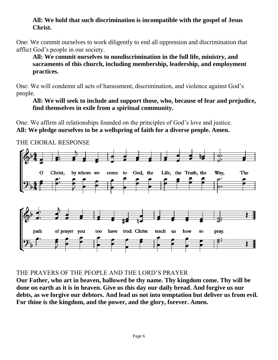### **All: We hold that such discrimination is incompatible with the gospel of Jesus Christ.**

One: We commit ourselves to work diligently to end all oppression and discrimination that afflict God's people in our society.

**All: We commit ourselves to nondiscrimination in the full life, ministry, and sacraments of this church, including membership, leadership, and employment practices.** 

One: We will condemn all acts of harassment, discrimination, and violence against God's people.

**All: We will seek to include and support those, who, because of fear and prejudice, find themselves in exile from a spiritual community.** 

One: We affirm all relationships founded on the principles of God's love and justice. **All: We pledge ourselves to be a wellspring of faith for a diverse people. Amen.**



### THE CHORAL RESPONSE

### THE PRAYERS OF THE PEOPLE AND THE LORD'S PRAYER

**Our Father, who art in heaven, hallowed be thy name. Thy kingdom come. Thy will be done on earth as it is in heaven. Give us this day our daily bread. And forgive us our debts, as we forgive our debtors. And lead us not into temptation but deliver us from evil. For thine is the kingdom, and the power, and the glory, forever. Amen.**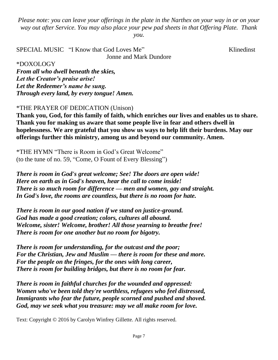*Please note: you can leave your offerings in the plate in the Narthex on your way in or on your way out after Service. You may also place your pew pad sheets in that Offering Plate. Thank* 

*you.* 

SPECIAL MUSIC "I Know that God Loves Me" Klinedinst Jonne and Mark Dundore

\*DOXOLOGY

*From all who dwell beneath the skies, Let the Creator's praise arise! Let the Redeemer's name be sung. Through every land, by every tongue! Amen.* 

### \*THE PRAYER OF DEDICATION (Unison)

**Thank you, God, for this family of faith, which enriches our lives and enables us to share. Thank you for making us aware that some people live in fear and others dwell in hopelessness. We are grateful that you show us ways to help lift their burdens. May our offerings further this ministry, among us and beyond our community. Amen.**

\*THE HYMN "There is Room in God's Great Welcome" (to the tune of no. 59, "Come, O Fount of Every Blessing")

*There is room in God's great welcome; See! The doors are open wide! Here on earth as in God's heaven, hear the call to come inside! There is so much room for difference — men and women, gay and straight. In God's love, the rooms are countless, but there is no room for hate.*

*There is room in our good nation if we stand on justice-ground. God has made a good creation; colors, cultures all abound. Welcome, sister! Welcome, brother! All those yearning to breathe free! There is room for one another but no room for bigotry.*

*There is room for understanding, for the outcast and the poor; For the Christian, Jew and Muslim — there is room for these and more. For the people on the fringes, for the ones with long career, There is room for building bridges, but there is no room for fear.*

*There is room in faithful churches for the wounded and oppressed: Women who've been told they're worthless, refugees who feel distressed, Immigrants who fear the future, people scorned and pushed and shoved. God, may we seek what you treasure: may we all make room for love.*

Text: Copyright © 2016 by Carolyn Winfrey Gillette. All rights reserved.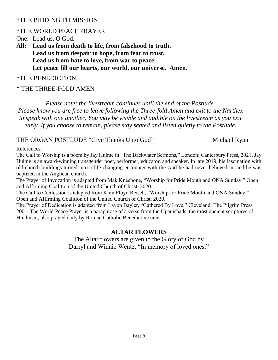### \*THE BIDDING TO MISSION

### \*THE WORLD PEACE PRAYER

One: Lead us, O God.

**All: Lead us from death to life, from falsehood to truth. Lead us from despair to hope, from fear to trust. Lead us from hate to love, from war to peace. Let peace fill our hearts, our world, our universe. Amen.**

### \*THE BENEDICTION

### \* THE THREE-FOLD AMEN

*Please note: the livestream continues until the end of the Postlude. Please know you are free to leave following the Three-fold Amen and exit to the Narthex to speak with one another. You may be visible and audible on the livestream as you exit early. If you choose to remain, please stay seated and listen quietly to the Postlude.*

### THE ORGAN POSTLUDE "Give Thanks Unto God" Michael Ryan

References:

The Call to Worship is a poem by Jay Hulme in "The Backwater Sermons," London: Canterbury Press, 2021. Jay Hulme is an award-winning transgender poet, performer, educator, and speaker. In late 2019, his fascination with old church buildings turned into a life-changing encounter with the God he had never believed in, and he was baptized in the Anglican church.

The Prayer of Invocation is adapted from Mak Kneebone, "Worship for Pride Month and ONA Sunday," Open and Affirming Coalition of the United Church of Christ, 2020.

The Call to Confession is adapted from Kimi Floyd Reisch, "Worship for Pride Month and ONA Sunday," Open and Affirming Coalition of the United Church of Christ, 2020.

The Prayer of Dedication is adapted from Lavon Bayler, "Gathered By Love," Cleveland: The Pilgrim Press, 2001. The World Peace Prayer is a paraphrase of a verse from the Upanishads, the most ancient scriptures of Hinduism, also prayed daily by Roman Catholic Benedictine nuns.

### **ALTAR FLOWERS**

The Altar flowers are given to the Glory of God by Darryl and Winnie Wentz, "In memory of loved ones."